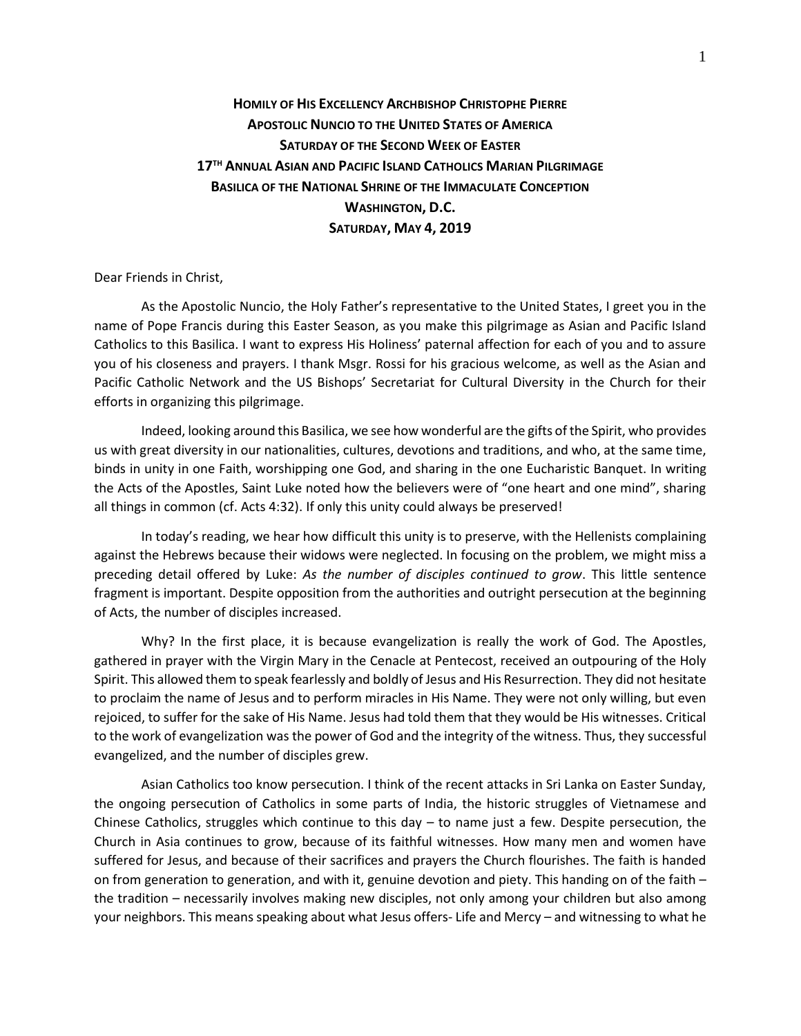## **HOMILY OF HIS EXCELLENCY ARCHBISHOP CHRISTOPHE PIERRE APOSTOLIC NUNCIO TO THE UNITED STATES OF AMERICA SATURDAY OF THE SECOND WEEK OF EASTER 17TH ANNUAL ASIAN AND PACIFIC ISLAND CATHOLICS MARIAN PILGRIMAGE BASILICA OF THE NATIONAL SHRINE OF THE IMMACULATE CONCEPTION WASHINGTON, D.C. SATURDAY, MAY 4, 2019**

Dear Friends in Christ,

As the Apostolic Nuncio, the Holy Father's representative to the United States, I greet you in the name of Pope Francis during this Easter Season, as you make this pilgrimage as Asian and Pacific Island Catholics to this Basilica. I want to express His Holiness' paternal affection for each of you and to assure you of his closeness and prayers. I thank Msgr. Rossi for his gracious welcome, as well as the Asian and Pacific Catholic Network and the US Bishops' Secretariat for Cultural Diversity in the Church for their efforts in organizing this pilgrimage.

Indeed, looking around this Basilica, we see how wonderful are the gifts of the Spirit, who provides us with great diversity in our nationalities, cultures, devotions and traditions, and who, at the same time, binds in unity in one Faith, worshipping one God, and sharing in the one Eucharistic Banquet. In writing the Acts of the Apostles, Saint Luke noted how the believers were of "one heart and one mind", sharing all things in common (cf. Acts 4:32). If only this unity could always be preserved!

In today's reading, we hear how difficult this unity is to preserve, with the Hellenists complaining against the Hebrews because their widows were neglected. In focusing on the problem, we might miss a preceding detail offered by Luke: *As the number of disciples continued to grow*. This little sentence fragment is important. Despite opposition from the authorities and outright persecution at the beginning of Acts, the number of disciples increased.

Why? In the first place, it is because evangelization is really the work of God. The Apostles, gathered in prayer with the Virgin Mary in the Cenacle at Pentecost, received an outpouring of the Holy Spirit. This allowed them to speak fearlessly and boldly of Jesus and His Resurrection. They did not hesitate to proclaim the name of Jesus and to perform miracles in His Name. They were not only willing, but even rejoiced, to suffer for the sake of His Name. Jesus had told them that they would be His witnesses. Critical to the work of evangelization was the power of God and the integrity of the witness. Thus, they successful evangelized, and the number of disciples grew.

Asian Catholics too know persecution. I think of the recent attacks in Sri Lanka on Easter Sunday, the ongoing persecution of Catholics in some parts of India, the historic struggles of Vietnamese and Chinese Catholics, struggles which continue to this day  $-$  to name just a few. Despite persecution, the Church in Asia continues to grow, because of its faithful witnesses. How many men and women have suffered for Jesus, and because of their sacrifices and prayers the Church flourishes. The faith is handed on from generation to generation, and with it, genuine devotion and piety. This handing on of the faith – the tradition – necessarily involves making new disciples, not only among your children but also among your neighbors. This means speaking about what Jesus offers- Life and Mercy – and witnessing to what he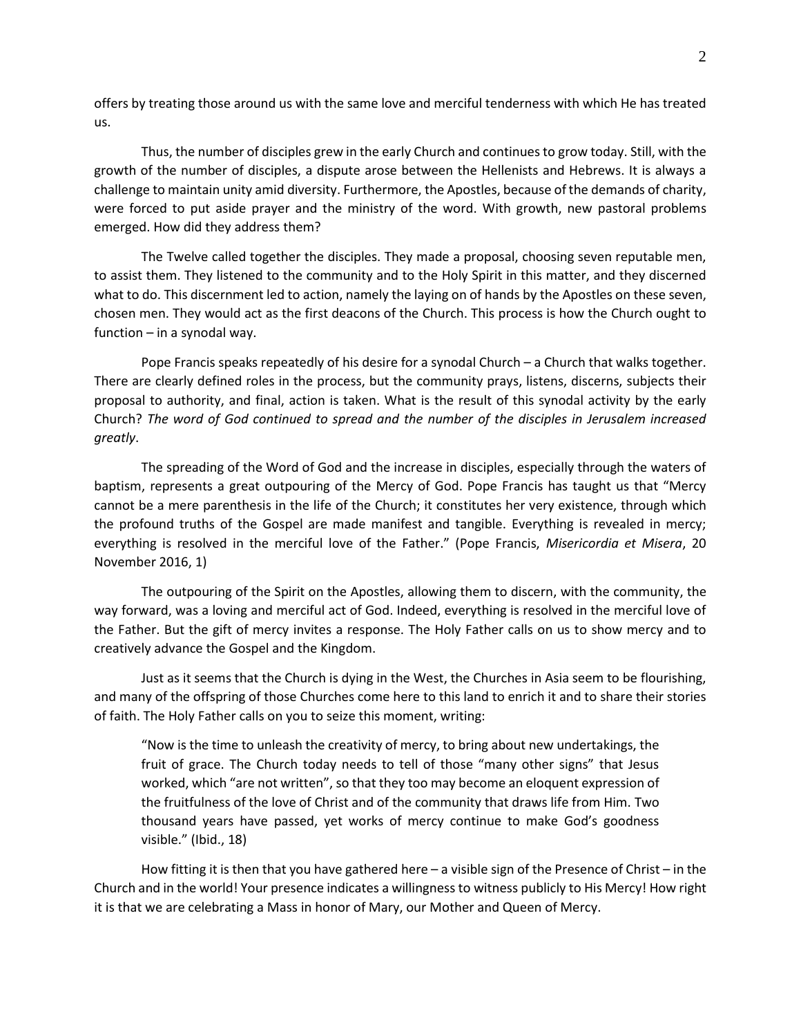offers by treating those around us with the same love and merciful tenderness with which He has treated us.

Thus, the number of disciples grew in the early Church and continues to grow today. Still, with the growth of the number of disciples, a dispute arose between the Hellenists and Hebrews. It is always a challenge to maintain unity amid diversity. Furthermore, the Apostles, because of the demands of charity, were forced to put aside prayer and the ministry of the word. With growth, new pastoral problems emerged. How did they address them?

The Twelve called together the disciples. They made a proposal, choosing seven reputable men, to assist them. They listened to the community and to the Holy Spirit in this matter, and they discerned what to do. This discernment led to action, namely the laying on of hands by the Apostles on these seven, chosen men. They would act as the first deacons of the Church. This process is how the Church ought to function – in a synodal way.

Pope Francis speaks repeatedly of his desire for a synodal Church – a Church that walks together. There are clearly defined roles in the process, but the community prays, listens, discerns, subjects their proposal to authority, and final, action is taken. What is the result of this synodal activity by the early Church? *The word of God continued to spread and the number of the disciples in Jerusalem increased greatly*.

The spreading of the Word of God and the increase in disciples, especially through the waters of baptism, represents a great outpouring of the Mercy of God. Pope Francis has taught us that "Mercy cannot be a mere parenthesis in the life of the Church; it constitutes her very existence, through which the profound truths of the Gospel are made manifest and tangible. Everything is revealed in mercy; everything is resolved in the merciful love of the Father." (Pope Francis, *Misericordia et Misera*, 20 November 2016, 1)

The outpouring of the Spirit on the Apostles, allowing them to discern, with the community, the way forward, was a loving and merciful act of God. Indeed, everything is resolved in the merciful love of the Father. But the gift of mercy invites a response. The Holy Father calls on us to show mercy and to creatively advance the Gospel and the Kingdom.

Just as it seems that the Church is dying in the West, the Churches in Asia seem to be flourishing, and many of the offspring of those Churches come here to this land to enrich it and to share their stories of faith. The Holy Father calls on you to seize this moment, writing:

"Now is the time to unleash the creativity of mercy, to bring about new undertakings, the fruit of grace. The Church today needs to tell of those "many other signs" that Jesus worked, which "are not written", so that they too may become an eloquent expression of the fruitfulness of the love of Christ and of the community that draws life from Him. Two thousand years have passed, yet works of mercy continue to make God's goodness visible." (Ibid., 18)

How fitting it is then that you have gathered here – a visible sign of the Presence of Christ – in the Church and in the world! Your presence indicates a willingness to witness publicly to His Mercy! How right it is that we are celebrating a Mass in honor of Mary, our Mother and Queen of Mercy.